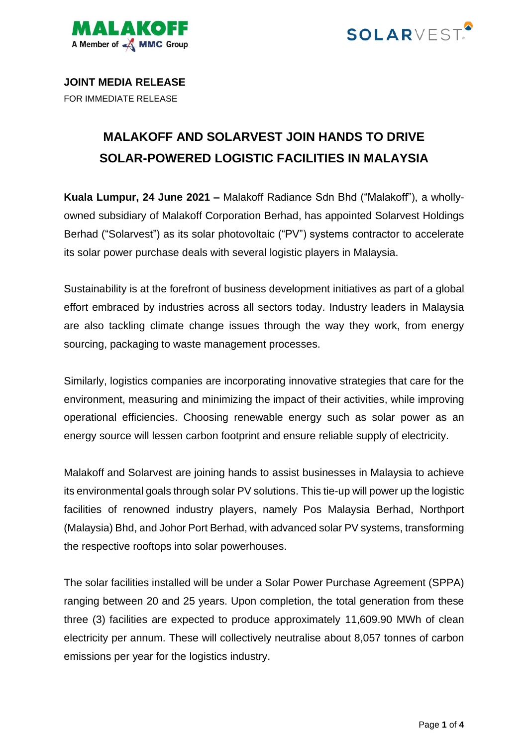



**JOINT MEDIA RELEASE** FOR IMMEDIATE RELEASE

## **MALAKOFF AND SOLARVEST JOIN HANDS TO DRIVE SOLAR-POWERED LOGISTIC FACILITIES IN MALAYSIA**

**Kuala Lumpur, 24 June 2021 –** Malakoff Radiance Sdn Bhd ("Malakoff"), a whollyowned subsidiary of Malakoff Corporation Berhad, has appointed Solarvest Holdings Berhad ("Solarvest") as its solar photovoltaic ("PV") systems contractor to accelerate its solar power purchase deals with several logistic players in Malaysia.

Sustainability is at the forefront of business development initiatives as part of a global effort embraced by industries across all sectors today. Industry leaders in Malaysia are also tackling climate change issues through the way they work, from energy sourcing, packaging to waste management processes.

Similarly, logistics companies are incorporating innovative strategies that care for the environment, measuring and minimizing the impact of their activities, while improving operational efficiencies. Choosing renewable energy such as solar power as an energy source will lessen carbon footprint and ensure reliable supply of electricity.

Malakoff and Solarvest are joining hands to assist businesses in Malaysia to achieve its environmental goals through solar PV solutions. This tie-up will power up the logistic facilities of renowned industry players, namely Pos Malaysia Berhad, Northport (Malaysia) Bhd, and Johor Port Berhad, with advanced solar PV systems, transforming the respective rooftops into solar powerhouses.

The solar facilities installed will be under a Solar Power Purchase Agreement (SPPA) ranging between 20 and 25 years. Upon completion, the total generation from these three (3) facilities are expected to produce approximately 11,609.90 MWh of clean electricity per annum. These will collectively neutralise about 8,057 tonnes of carbon emissions per year for the logistics industry.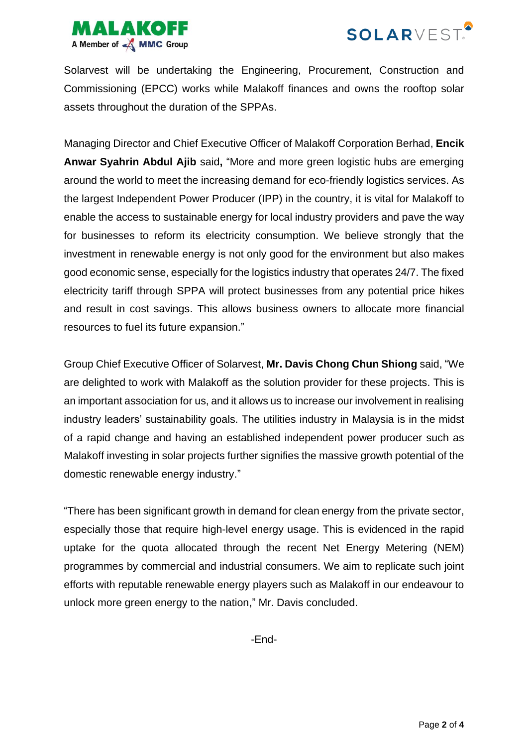



Solarvest will be undertaking the Engineering, Procurement, Construction and Commissioning (EPCC) works while Malakoff finances and owns the rooftop solar assets throughout the duration of the SPPAs.

Managing Director and Chief Executive Officer of Malakoff Corporation Berhad, **Encik Anwar Syahrin Abdul Ajib** said**,** "More and more green logistic hubs are emerging around the world to meet the increasing demand for eco-friendly logistics services. As the largest Independent Power Producer (IPP) in the country, it is vital for Malakoff to enable the access to sustainable energy for local industry providers and pave the way for businesses to reform its electricity consumption. We believe strongly that the investment in renewable energy is not only good for the environment but also makes good economic sense, especially for the logistics industry that operates 24/7. The fixed electricity tariff through SPPA will protect businesses from any potential price hikes and result in cost savings. This allows business owners to allocate more financial resources to fuel its future expansion."

Group Chief Executive Officer of Solarvest, **Mr. Davis Chong Chun Shiong** said, "We are delighted to work with Malakoff as the solution provider for these projects. This is an important association for us, and it allows us to increase our involvement in realising industry leaders' sustainability goals. The utilities industry in Malaysia is in the midst of a rapid change and having an established independent power producer such as Malakoff investing in solar projects further signifies the massive growth potential of the domestic renewable energy industry."

"There has been significant growth in demand for clean energy from the private sector, especially those that require high-level energy usage. This is evidenced in the rapid uptake for the quota allocated through the recent Net Energy Metering (NEM) programmes by commercial and industrial consumers. We aim to replicate such joint efforts with reputable renewable energy players such as Malakoff in our endeavour to unlock more green energy to the nation," Mr. Davis concluded.

-End-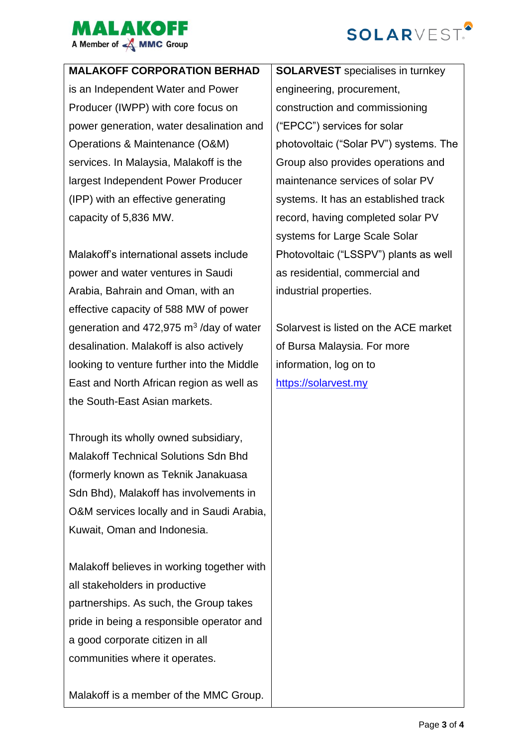



## **MALAKOFF CORPORATION BERHAD**

is an Independent Water and Power Producer (IWPP) with core focus on power generation, water desalination and Operations & Maintenance (O&M) services. In Malaysia, Malakoff is the largest Independent Power Producer (IPP) with an effective generating capacity of 5,836 MW.

Malakoff's international assets include power and water ventures in Saudi Arabia, Bahrain and Oman, with an effective capacity of 588 MW of power generation and 472,975  $\text{m}^3$  /day of water desalination. Malakoff is also actively looking to venture further into the Middle East and North African region as well as the South-East Asian markets.

Through its wholly owned subsidiary, Malakoff Technical Solutions Sdn Bhd (formerly known as Teknik Janakuasa Sdn Bhd), Malakoff has involvements in O&M services locally and in Saudi Arabia, Kuwait, Oman and Indonesia.

Malakoff believes in working together with all stakeholders in productive partnerships. As such, the Group takes pride in being a responsible operator and a good corporate citizen in all communities where it operates.

Malakoff is a member of the MMC Group.

**SOLARVEST** specialises in turnkey engineering, procurement, construction and commissioning ("EPCC") services for solar photovoltaic ("Solar PV") systems. The Group also provides operations and maintenance services of solar PV systems. It has an established track record, having completed solar PV systems for Large Scale Solar Photovoltaic ("LSSPV") plants as well as residential, commercial and industrial properties.

Solarvest is listed on the ACE market of Bursa Malaysia. For more information, log on to [https://solarvest.my](https://solarvest.my/)